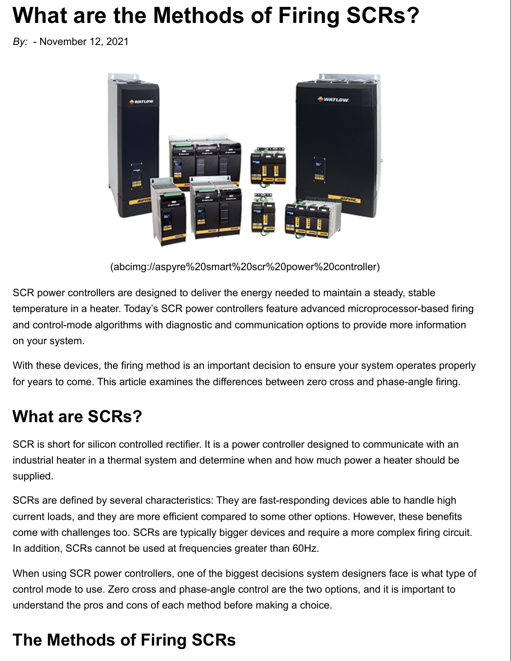# **What are the Methods of Firing SCRs?**

*By:* - November 12, 2021



(abcimg://aspyre%20smart%20scr%20power%20controller)

SCR power controllers are designed to deliver the energy needed to maintain a steady, stable temperature in a heater. Today's SCR power controllers feature advanced microprocessor-based firing and control-mode algorithms with diagnostic and communication options to provide more information on your system.

With these devices, the firing method is an important decision to ensure your system operates properly for years to come. This article examines the differences between zero cross and phase-angle firing.

### **What are SCRs?**

SCR is short for silicon controlled rectifier. It is a power controller designed to communicate with an industrial heater in a thermal system and determine when and how much power a heater should be supplied.

SCRs are defined by several characteristics: They are fast-responding devices able to handle high current loads, and they are more efficient compared to some other options. However, these benefits come with challenges too. SCRs are typically bigger devices and require a more complex firing circuit. In addition, SCRs cannot be used at frequencies greater than 60Hz.

When using SCR power controllers, one of the biggest decisions system designers face is what type of control mode to use. Zero cross and phase-angle control are the two options, and it is important to understand the pros and cons of each method before making a choice.

# **The Methods of Firing SCRs**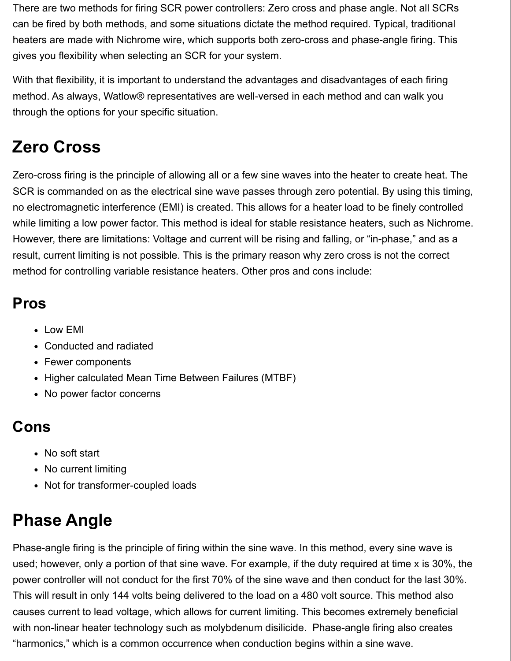There are two methods for firing SCR power controllers: Zero cross and phase angle. Not all SCRs can be fired by both methods, and some situations dictate the method required. Typical, traditional heaters are made with Nichrome wire, which supports both zero-cross and phase-angle firing. This gives you flexibility when selecting an SCR for your system.

With that flexibility, it is important to understand the advantages and disadvantages of each firing method. As always, Watlow® representatives are well-versed in each method and can walk you through the options for your specific situation.

## **Zero Cross**

Zero-cross firing is the principle of allowing all or a few sine waves into the heater to create heat. The SCR is commanded on as the electrical sine wave passes through zero potential. By using this timing, no electromagnetic interference (EMI) is created. This allows for a heater load to be finely controlled while limiting a low power factor. This method is ideal for stable resistance heaters, such as Nichrome. However, there are limitations: Voltage and current will be rising and falling, or "in-phase," and as a result, current limiting is not possible. This is the primary reason why zero cross is not the correct method for controlling variable resistance heaters. Other pros and cons include:

### **Pros**

- Low EMI
- Conducted and radiated
- Fewer components
- Higher calculated Mean Time Between Failures (MTBF)
- No power factor concerns

### **Cons**

- No soft start
- No current limiting
- Not for transformer-coupled loads

# **Phase Angle**

Phase-angle firing is the principle of firing within the sine wave. In this method, every sine wave is used; however, only a portion of that sine wave. For example, if the duty required at time x is 30%, the power controller will not conduct for the first 70% of the sine wave and then conduct for the last 30%. This will result in only 144 volts being delivered to the load on a 480 volt source. This method also causes current to lead voltage, which allows for current limiting. This becomes extremely beneficial with non-linear heater technology such as molybdenum disilicide. Phase-angle firing also creates "harmonics," which is a common occurrence when conduction begins within a sine wave.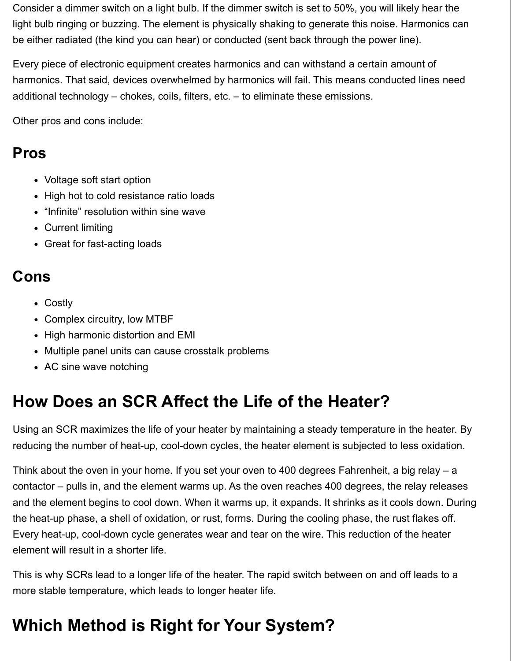Consider a dimmer switch on a light bulb. If the dimmer switch is set to 50%, you will likely hear the light bulb ringing or buzzing. The element is physically shaking to generate this noise. Harmonics can be either radiated (the kind you can hear) or conducted (sent back through the power line).

Every piece of electronic equipment creates harmonics and can withstand a certain amount of harmonics. That said, devices overwhelmed by harmonics will fail. This means conducted lines need additional technology – chokes, coils, filters, etc. – to eliminate these emissions.

Other pros and cons include:

#### **Pros**

- Voltage soft start option
- High hot to cold resistance ratio loads
- "Infinite" resolution within sine wave
- Current limiting
- Great for fast-acting loads

#### **Cons**

- Costly
- Complex circuitry, low MTBF
- High harmonic distortion and EMI
- Multiple panel units can cause crosstalk problems
- AC sine wave notching

## **How Does an SCR Affect the Life of the Heater?**

Using an SCR maximizes the life of your heater by maintaining a steady temperature in the heater. By reducing the number of heat-up, cool-down cycles, the heater element is subjected to less oxidation.

Think about the oven in your home. If you set your oven to 400 degrees Fahrenheit, a big relay – a contactor – pulls in, and the element warms up. As the oven reaches 400 degrees, the relay releases and the element begins to cool down. When it warms up, it expands. It shrinks as it cools down. During the heat-up phase, a shell of oxidation, or rust, forms. During the cooling phase, the rust flakes off. Every heat-up, cool-down cycle generates wear and tear on the wire. This reduction of the heater element will result in a shorter life.

This is why SCRs lead to a longer life of the heater. The rapid switch between on and off leads to a more stable temperature, which leads to longer heater life.

# **Which Method is Right for Your System?**